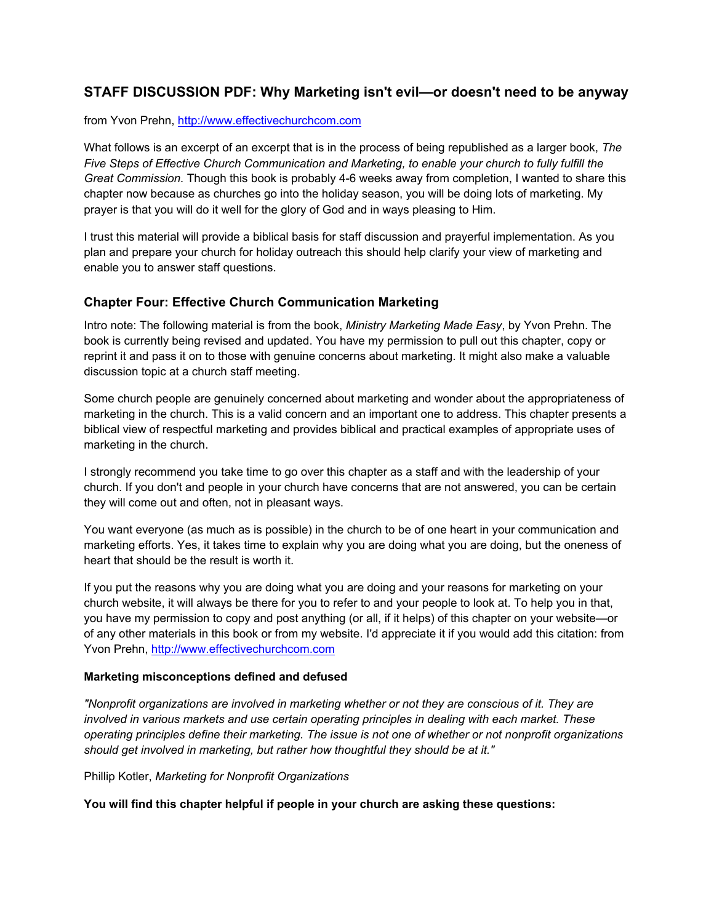# **STAFF DISCUSSION PDF: Why Marketing isn't evil—or doesn't need to be anyway**

from Yvon Prehn, http://www.effectivechurchcom.com

What follows is an excerpt of an excerpt that is in the process of being republished as a larger book, *The Five Steps of Effective Church Communication and Marketing, to enable your church to fully fulfill the Great Commission.* Though this book is probably 4-6 weeks away from completion, I wanted to share this chapter now because as churches go into the holiday season, you will be doing lots of marketing. My prayer is that you will do it well for the glory of God and in ways pleasing to Him.

I trust this material will provide a biblical basis for staff discussion and prayerful implementation. As you plan and prepare your church for holiday outreach this should help clarify your view of marketing and enable you to answer staff questions.

# **Chapter Four: Effective Church Communication Marketing**

Intro note: The following material is from the book, *Ministry Marketing Made Easy*, by Yvon Prehn. The book is currently being revised and updated. You have my permission to pull out this chapter, copy or reprint it and pass it on to those with genuine concerns about marketing. It might also make a valuable discussion topic at a church staff meeting.

Some church people are genuinely concerned about marketing and wonder about the appropriateness of marketing in the church. This is a valid concern and an important one to address. This chapter presents a biblical view of respectful marketing and provides biblical and practical examples of appropriate uses of marketing in the church.

I strongly recommend you take time to go over this chapter as a staff and with the leadership of your church. If you don't and people in your church have concerns that are not answered, you can be certain they will come out and often, not in pleasant ways.

You want everyone (as much as is possible) in the church to be of one heart in your communication and marketing efforts. Yes, it takes time to explain why you are doing what you are doing, but the oneness of heart that should be the result is worth it.

If you put the reasons why you are doing what you are doing and your reasons for marketing on your church website, it will always be there for you to refer to and your people to look at. To help you in that, you have my permission to copy and post anything (or all, if it helps) of this chapter on your website—or of any other materials in this book or from my website. I'd appreciate it if you would add this citation: from Yvon Prehn, http://www.effectivechurchcom.com

## **Marketing misconceptions defined and defused**

*"Nonprofit organizations are involved in marketing whether or not they are conscious of it. They are involved in various markets and use certain operating principles in dealing with each market. These operating principles define their marketing. The issue is not one of whether or not nonprofit organizations should get involved in marketing, but rather how thoughtful they should be at it."* 

Phillip Kotler, *Marketing for Nonprofit Organizations*

**You will find this chapter helpful if people in your church are asking these questions:**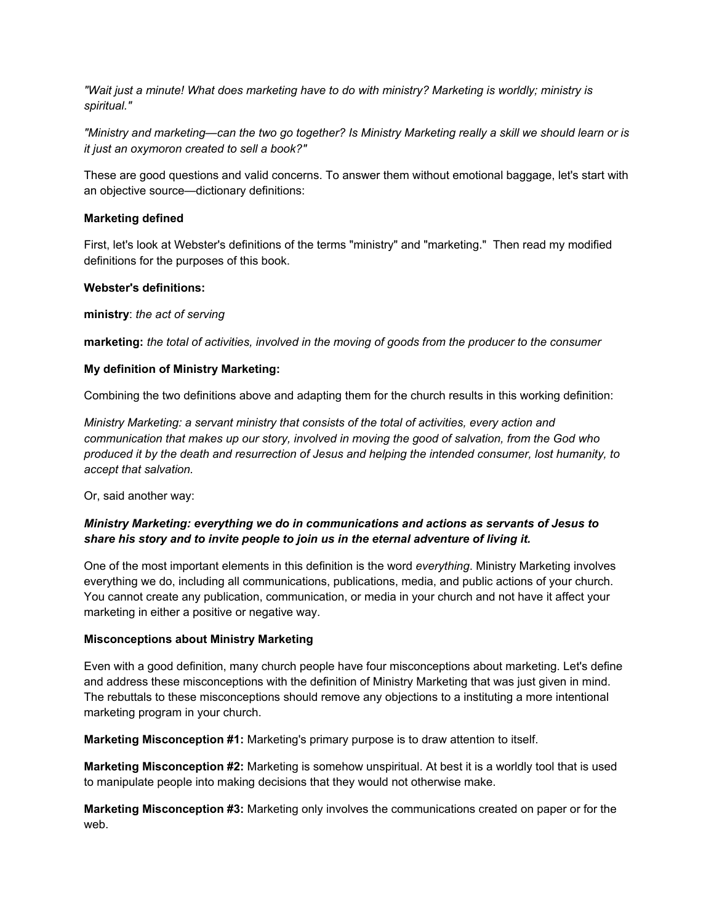*"Wait just a minute! What does marketing have to do with ministry? Marketing is worldly; ministry is spiritual."* 

*"Ministry and marketing—can the two go together? Is Ministry Marketing really a skill we should learn or is it just an oxymoron created to sell a book?"* 

These are good questions and valid concerns. To answer them without emotional baggage, let's start with an objective source—dictionary definitions:

#### **Marketing defined**

First, let's look at Webster's definitions of the terms "ministry" and "marketing." Then read my modified definitions for the purposes of this book.

#### **Webster's definitions:**

**ministry**: *the act of serving*

**marketing:** *the total of activities, involved in the moving of goods from the producer to the consumer* 

## **My definition of Ministry Marketing:**

Combining the two definitions above and adapting them for the church results in this working definition:

*Ministry Marketing: a servant ministry that consists of the total of activities, every action and communication that makes up our story, involved in moving the good of salvation, from the God who produced it by the death and resurrection of Jesus and helping the intended consumer, lost humanity, to accept that salvation.* 

Or, said another way:

## *Ministry Marketing: everything we do in communications and actions as servants of Jesus to share his story and to invite people to join us in the eternal adventure of living it.*

One of the most important elements in this definition is the word *everything*. Ministry Marketing involves everything we do, including all communications, publications, media, and public actions of your church. You cannot create any publication, communication, or media in your church and not have it affect your marketing in either a positive or negative way.

#### **Misconceptions about Ministry Marketing**

Even with a good definition, many church people have four misconceptions about marketing. Let's define and address these misconceptions with the definition of Ministry Marketing that was just given in mind. The rebuttals to these misconceptions should remove any objections to a instituting a more intentional marketing program in your church.

**Marketing Misconception #1:** Marketing's primary purpose is to draw attention to itself.

**Marketing Misconception #2:** Marketing is somehow unspiritual. At best it is a worldly tool that is used to manipulate people into making decisions that they would not otherwise make.

**Marketing Misconception #3:** Marketing only involves the communications created on paper or for the web.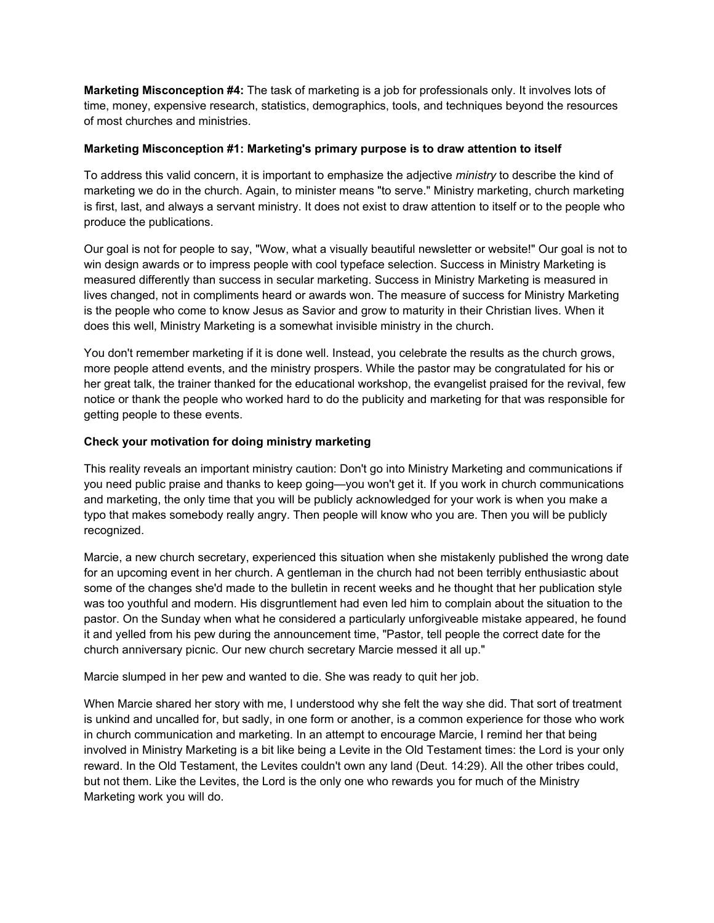**Marketing Misconception #4:** The task of marketing is a job for professionals only. It involves lots of time, money, expensive research, statistics, demographics, tools, and techniques beyond the resources of most churches and ministries.

## **Marketing Misconception #1: Marketing's primary purpose is to draw attention to itself**

To address this valid concern, it is important to emphasize the adjective *ministry* to describe the kind of marketing we do in the church. Again, to minister means "to serve." Ministry marketing, church marketing is first, last, and always a servant ministry. It does not exist to draw attention to itself or to the people who produce the publications.

Our goal is not for people to say, "Wow, what a visually beautiful newsletter or website!" Our goal is not to win design awards or to impress people with cool typeface selection. Success in Ministry Marketing is measured differently than success in secular marketing. Success in Ministry Marketing is measured in lives changed, not in compliments heard or awards won. The measure of success for Ministry Marketing is the people who come to know Jesus as Savior and grow to maturity in their Christian lives. When it does this well, Ministry Marketing is a somewhat invisible ministry in the church.

You don't remember marketing if it is done well. Instead, you celebrate the results as the church grows, more people attend events, and the ministry prospers. While the pastor may be congratulated for his or her great talk, the trainer thanked for the educational workshop, the evangelist praised for the revival, few notice or thank the people who worked hard to do the publicity and marketing for that was responsible for getting people to these events.

# **Check your motivation for doing ministry marketing**

This reality reveals an important ministry caution: Don't go into Ministry Marketing and communications if you need public praise and thanks to keep going—you won't get it. If you work in church communications and marketing, the only time that you will be publicly acknowledged for your work is when you make a typo that makes somebody really angry. Then people will know who you are. Then you will be publicly recognized.

Marcie, a new church secretary, experienced this situation when she mistakenly published the wrong date for an upcoming event in her church. A gentleman in the church had not been terribly enthusiastic about some of the changes she'd made to the bulletin in recent weeks and he thought that her publication style was too youthful and modern. His disgruntlement had even led him to complain about the situation to the pastor. On the Sunday when what he considered a particularly unforgiveable mistake appeared, he found it and yelled from his pew during the announcement time, "Pastor, tell people the correct date for the church anniversary picnic. Our new church secretary Marcie messed it all up."

Marcie slumped in her pew and wanted to die. She was ready to quit her job.

When Marcie shared her story with me, I understood why she felt the way she did. That sort of treatment is unkind and uncalled for, but sadly, in one form or another, is a common experience for those who work in church communication and marketing. In an attempt to encourage Marcie, I remind her that being involved in Ministry Marketing is a bit like being a Levite in the Old Testament times: the Lord is your only reward. In the Old Testament, the Levites couldn't own any land (Deut. 14:29). All the other tribes could, but not them. Like the Levites, the Lord is the only one who rewards you for much of the Ministry Marketing work you will do.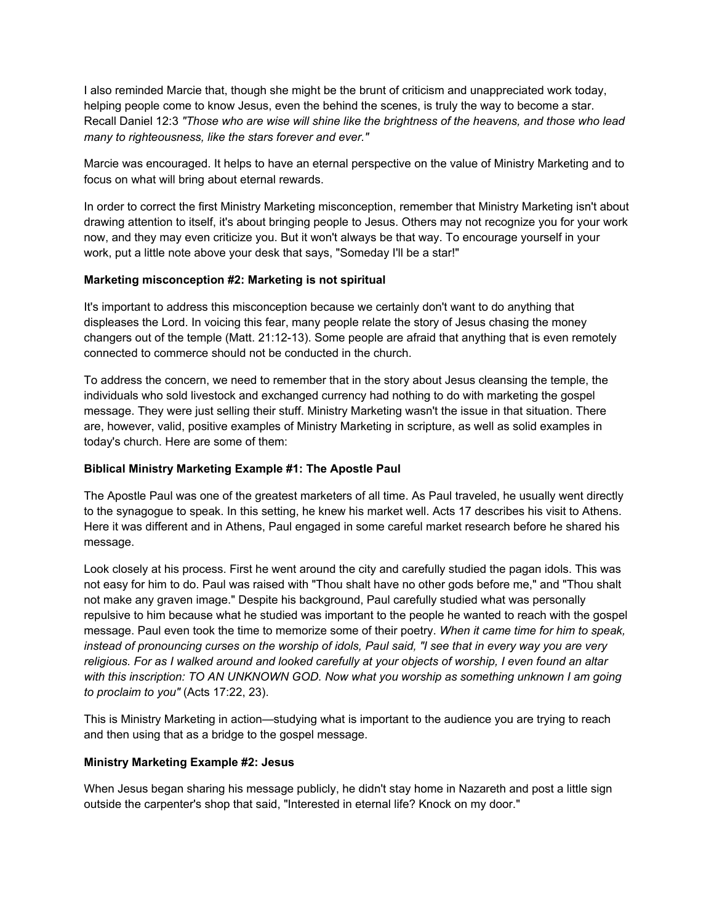I also reminded Marcie that, though she might be the brunt of criticism and unappreciated work today, helping people come to know Jesus, even the behind the scenes, is truly the way to become a star. Recall Daniel 12:3 *"Those who are wise will shine like the brightness of the heavens, and those who lead many to righteousness, like the stars forever and ever."* 

Marcie was encouraged. It helps to have an eternal perspective on the value of Ministry Marketing and to focus on what will bring about eternal rewards.

In order to correct the first Ministry Marketing misconception, remember that Ministry Marketing isn't about drawing attention to itself, it's about bringing people to Jesus. Others may not recognize you for your work now, and they may even criticize you. But it won't always be that way. To encourage yourself in your work, put a little note above your desk that says, "Someday I'll be a star!"

#### **Marketing misconception #2: Marketing is not spiritual**

It's important to address this misconception because we certainly don't want to do anything that displeases the Lord. In voicing this fear, many people relate the story of Jesus chasing the money changers out of the temple (Matt. 21:12-13). Some people are afraid that anything that is even remotely connected to commerce should not be conducted in the church.

To address the concern, we need to remember that in the story about Jesus cleansing the temple, the individuals who sold livestock and exchanged currency had nothing to do with marketing the gospel message. They were just selling their stuff. Ministry Marketing wasn't the issue in that situation. There are, however, valid, positive examples of Ministry Marketing in scripture, as well as solid examples in today's church. Here are some of them:

## **Biblical Ministry Marketing Example #1: The Apostle Paul**

The Apostle Paul was one of the greatest marketers of all time. As Paul traveled, he usually went directly to the synagogue to speak. In this setting, he knew his market well. Acts 17 describes his visit to Athens. Here it was different and in Athens, Paul engaged in some careful market research before he shared his message.

Look closely at his process. First he went around the city and carefully studied the pagan idols. This was not easy for him to do. Paul was raised with "Thou shalt have no other gods before me," and "Thou shalt not make any graven image." Despite his background, Paul carefully studied what was personally repulsive to him because what he studied was important to the people he wanted to reach with the gospel message. Paul even took the time to memorize some of their poetry. *When it came time for him to speak, instead of pronouncing curses on the worship of idols, Paul said, "I see that in every way you are very religious. For as I walked around and looked carefully at your objects of worship, I even found an altar with this inscription: TO AN UNKNOWN GOD. Now what you worship as something unknown I am going to proclaim to you"* (Acts 17:22, 23).

This is Ministry Marketing in action—studying what is important to the audience you are trying to reach and then using that as a bridge to the gospel message.

#### **Ministry Marketing Example #2: Jesus**

When Jesus began sharing his message publicly, he didn't stay home in Nazareth and post a little sign outside the carpenter's shop that said, "Interested in eternal life? Knock on my door."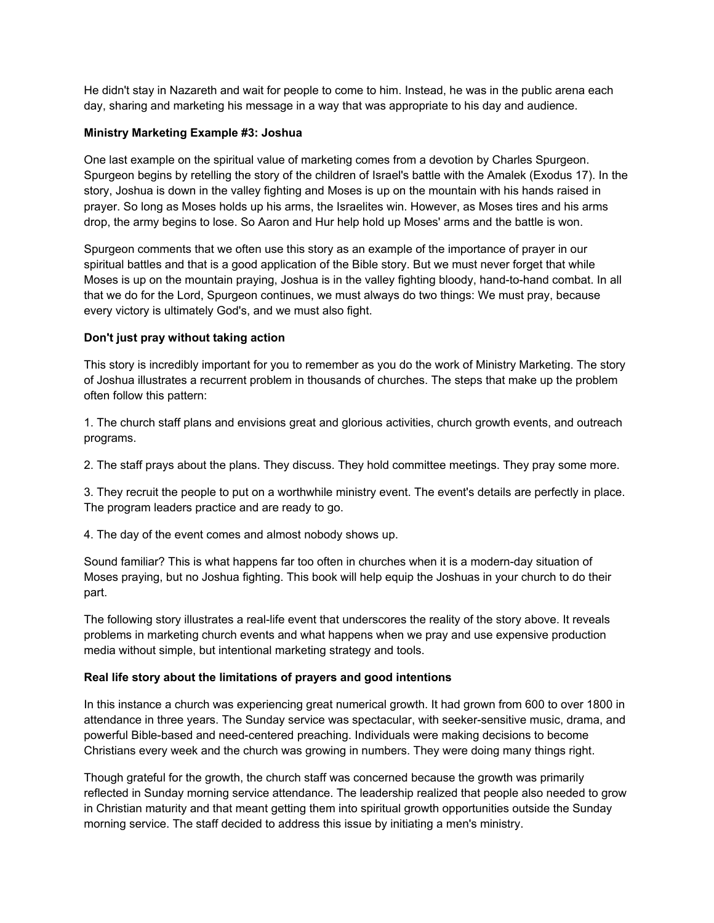He didn't stay in Nazareth and wait for people to come to him. Instead, he was in the public arena each day, sharing and marketing his message in a way that was appropriate to his day and audience.

## **Ministry Marketing Example #3: Joshua**

One last example on the spiritual value of marketing comes from a devotion by Charles Spurgeon. Spurgeon begins by retelling the story of the children of Israel's battle with the Amalek (Exodus 17). In the story, Joshua is down in the valley fighting and Moses is up on the mountain with his hands raised in prayer. So long as Moses holds up his arms, the Israelites win. However, as Moses tires and his arms drop, the army begins to lose. So Aaron and Hur help hold up Moses' arms and the battle is won.

Spurgeon comments that we often use this story as an example of the importance of prayer in our spiritual battles and that is a good application of the Bible story. But we must never forget that while Moses is up on the mountain praying, Joshua is in the valley fighting bloody, hand-to-hand combat. In all that we do for the Lord, Spurgeon continues, we must always do two things: We must pray, because every victory is ultimately God's, and we must also fight.

#### **Don't just pray without taking action**

This story is incredibly important for you to remember as you do the work of Ministry Marketing. The story of Joshua illustrates a recurrent problem in thousands of churches. The steps that make up the problem often follow this pattern:

1. The church staff plans and envisions great and glorious activities, church growth events, and outreach programs.

2. The staff prays about the plans. They discuss. They hold committee meetings. They pray some more.

3. They recruit the people to put on a worthwhile ministry event. The event's details are perfectly in place. The program leaders practice and are ready to go.

4. The day of the event comes and almost nobody shows up.

Sound familiar? This is what happens far too often in churches when it is a modern-day situation of Moses praying, but no Joshua fighting. This book will help equip the Joshuas in your church to do their part.

The following story illustrates a real-life event that underscores the reality of the story above. It reveals problems in marketing church events and what happens when we pray and use expensive production media without simple, but intentional marketing strategy and tools.

## **Real life story about the limitations of prayers and good intentions**

In this instance a church was experiencing great numerical growth. It had grown from 600 to over 1800 in attendance in three years. The Sunday service was spectacular, with seeker-sensitive music, drama, and powerful Bible-based and need-centered preaching. Individuals were making decisions to become Christians every week and the church was growing in numbers. They were doing many things right.

Though grateful for the growth, the church staff was concerned because the growth was primarily reflected in Sunday morning service attendance. The leadership realized that people also needed to grow in Christian maturity and that meant getting them into spiritual growth opportunities outside the Sunday morning service. The staff decided to address this issue by initiating a men's ministry.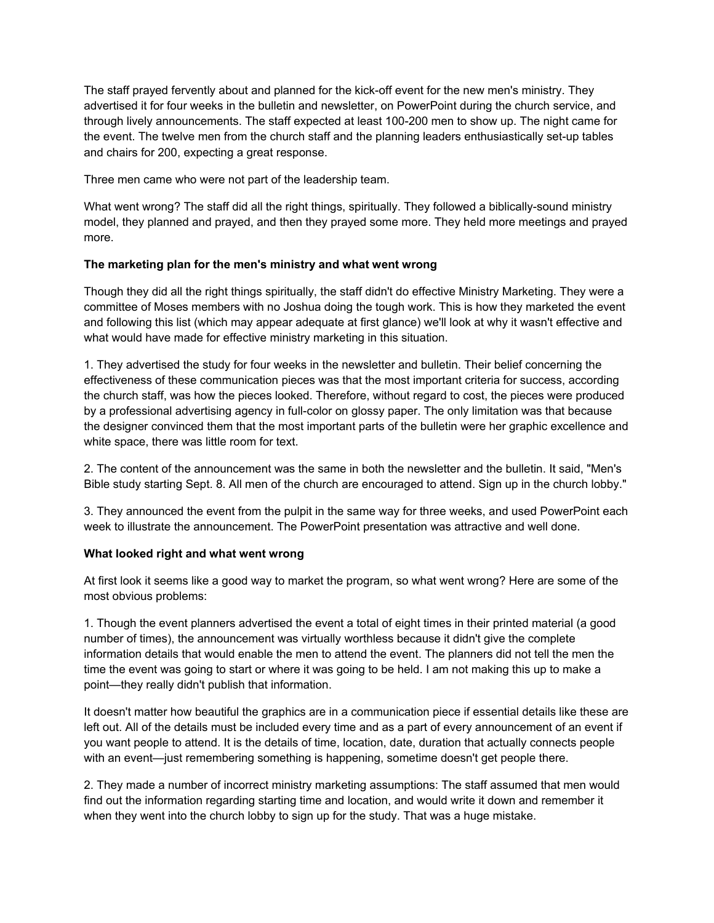The staff prayed fervently about and planned for the kick-off event for the new men's ministry. They advertised it for four weeks in the bulletin and newsletter, on PowerPoint during the church service, and through lively announcements. The staff expected at least 100-200 men to show up. The night came for the event. The twelve men from the church staff and the planning leaders enthusiastically set-up tables and chairs for 200, expecting a great response.

Three men came who were not part of the leadership team.

What went wrong? The staff did all the right things, spiritually. They followed a biblically-sound ministry model, they planned and prayed, and then they prayed some more. They held more meetings and prayed more.

# **The marketing plan for the men's ministry and what went wrong**

Though they did all the right things spiritually, the staff didn't do effective Ministry Marketing. They were a committee of Moses members with no Joshua doing the tough work. This is how they marketed the event and following this list (which may appear adequate at first glance) we'll look at why it wasn't effective and what would have made for effective ministry marketing in this situation.

1. They advertised the study for four weeks in the newsletter and bulletin. Their belief concerning the effectiveness of these communication pieces was that the most important criteria for success, according the church staff, was how the pieces looked. Therefore, without regard to cost, the pieces were produced by a professional advertising agency in full-color on glossy paper. The only limitation was that because the designer convinced them that the most important parts of the bulletin were her graphic excellence and white space, there was little room for text.

2. The content of the announcement was the same in both the newsletter and the bulletin. It said, "Men's Bible study starting Sept. 8. All men of the church are encouraged to attend. Sign up in the church lobby."

3. They announced the event from the pulpit in the same way for three weeks, and used PowerPoint each week to illustrate the announcement. The PowerPoint presentation was attractive and well done.

## **What looked right and what went wrong**

At first look it seems like a good way to market the program, so what went wrong? Here are some of the most obvious problems:

1. Though the event planners advertised the event a total of eight times in their printed material (a good number of times), the announcement was virtually worthless because it didn't give the complete information details that would enable the men to attend the event. The planners did not tell the men the time the event was going to start or where it was going to be held. I am not making this up to make a point—they really didn't publish that information.

It doesn't matter how beautiful the graphics are in a communication piece if essential details like these are left out. All of the details must be included every time and as a part of every announcement of an event if you want people to attend. It is the details of time, location, date, duration that actually connects people with an event—just remembering something is happening, sometime doesn't get people there.

2. They made a number of incorrect ministry marketing assumptions: The staff assumed that men would find out the information regarding starting time and location, and would write it down and remember it when they went into the church lobby to sign up for the study. That was a huge mistake.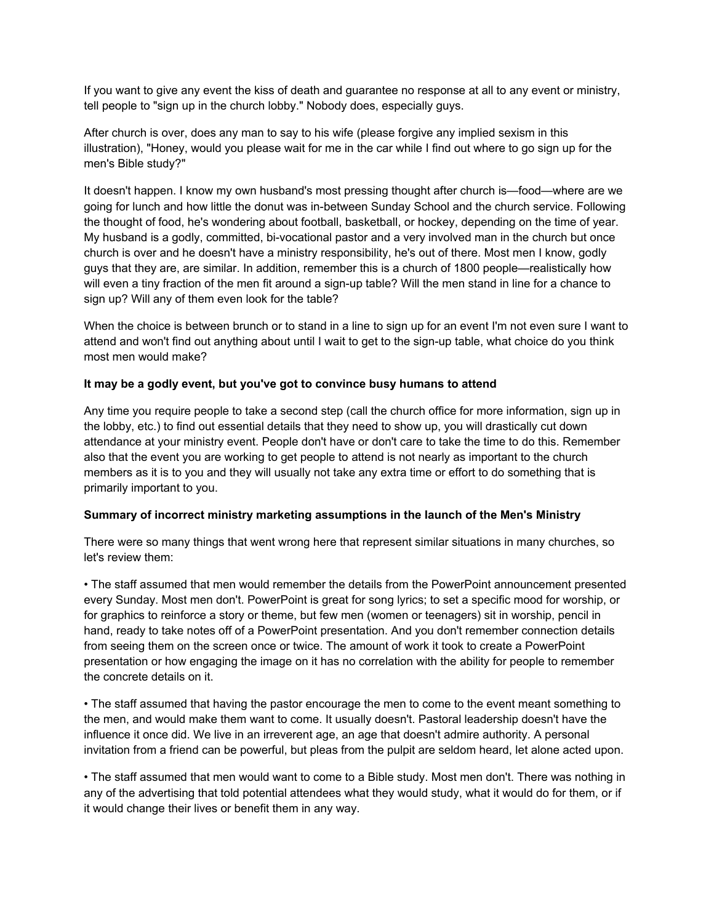If you want to give any event the kiss of death and guarantee no response at all to any event or ministry, tell people to "sign up in the church lobby." Nobody does, especially guys.

After church is over, does any man to say to his wife (please forgive any implied sexism in this illustration), "Honey, would you please wait for me in the car while I find out where to go sign up for the men's Bible study?"

It doesn't happen. I know my own husband's most pressing thought after church is—food—where are we going for lunch and how little the donut was in-between Sunday School and the church service. Following the thought of food, he's wondering about football, basketball, or hockey, depending on the time of year. My husband is a godly, committed, bi-vocational pastor and a very involved man in the church but once church is over and he doesn't have a ministry responsibility, he's out of there. Most men I know, godly guys that they are, are similar. In addition, remember this is a church of 1800 people—realistically how will even a tiny fraction of the men fit around a sign-up table? Will the men stand in line for a chance to sign up? Will any of them even look for the table?

When the choice is between brunch or to stand in a line to sign up for an event I'm not even sure I want to attend and won't find out anything about until I wait to get to the sign-up table, what choice do you think most men would make?

## **It may be a godly event, but you've got to convince busy humans to attend**

Any time you require people to take a second step (call the church office for more information, sign up in the lobby, etc.) to find out essential details that they need to show up, you will drastically cut down attendance at your ministry event. People don't have or don't care to take the time to do this. Remember also that the event you are working to get people to attend is not nearly as important to the church members as it is to you and they will usually not take any extra time or effort to do something that is primarily important to you.

#### **Summary of incorrect ministry marketing assumptions in the launch of the Men's Ministry**

There were so many things that went wrong here that represent similar situations in many churches, so let's review them:

• The staff assumed that men would remember the details from the PowerPoint announcement presented every Sunday. Most men don't. PowerPoint is great for song lyrics; to set a specific mood for worship, or for graphics to reinforce a story or theme, but few men (women or teenagers) sit in worship, pencil in hand, ready to take notes off of a PowerPoint presentation. And you don't remember connection details from seeing them on the screen once or twice. The amount of work it took to create a PowerPoint presentation or how engaging the image on it has no correlation with the ability for people to remember the concrete details on it.

• The staff assumed that having the pastor encourage the men to come to the event meant something to the men, and would make them want to come. It usually doesn't. Pastoral leadership doesn't have the influence it once did. We live in an irreverent age, an age that doesn't admire authority. A personal invitation from a friend can be powerful, but pleas from the pulpit are seldom heard, let alone acted upon.

• The staff assumed that men would want to come to a Bible study. Most men don't. There was nothing in any of the advertising that told potential attendees what they would study, what it would do for them, or if it would change their lives or benefit them in any way.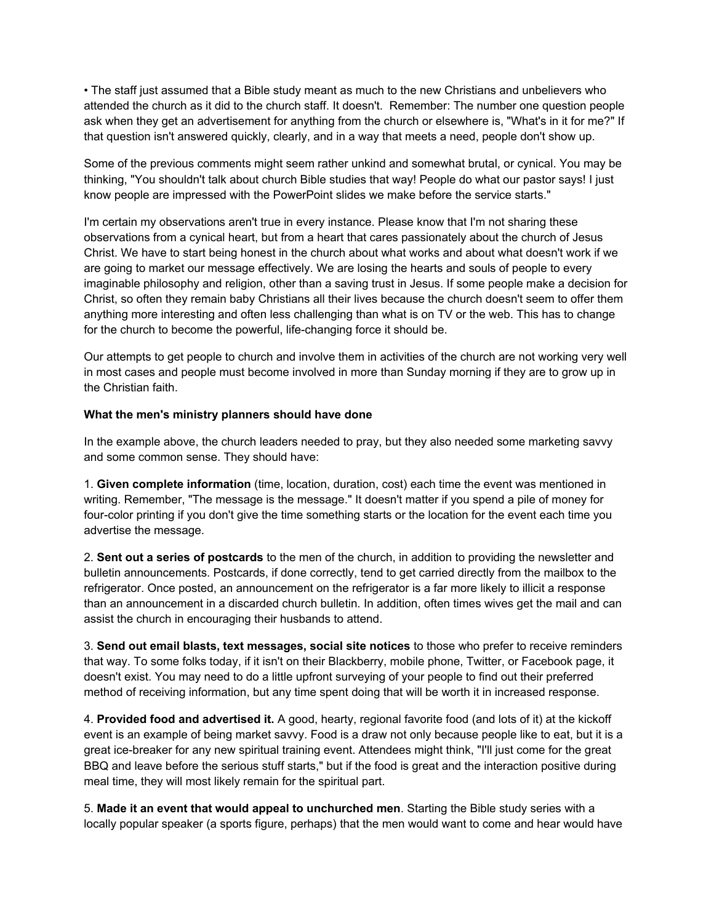• The staff just assumed that a Bible study meant as much to the new Christians and unbelievers who attended the church as it did to the church staff. It doesn't. Remember: The number one question people ask when they get an advertisement for anything from the church or elsewhere is, "What's in it for me?" If that question isn't answered quickly, clearly, and in a way that meets a need, people don't show up.

Some of the previous comments might seem rather unkind and somewhat brutal, or cynical. You may be thinking, "You shouldn't talk about church Bible studies that way! People do what our pastor says! I just know people are impressed with the PowerPoint slides we make before the service starts."

I'm certain my observations aren't true in every instance. Please know that I'm not sharing these observations from a cynical heart, but from a heart that cares passionately about the church of Jesus Christ. We have to start being honest in the church about what works and about what doesn't work if we are going to market our message effectively. We are losing the hearts and souls of people to every imaginable philosophy and religion, other than a saving trust in Jesus. If some people make a decision for Christ, so often they remain baby Christians all their lives because the church doesn't seem to offer them anything more interesting and often less challenging than what is on TV or the web. This has to change for the church to become the powerful, life-changing force it should be.

Our attempts to get people to church and involve them in activities of the church are not working very well in most cases and people must become involved in more than Sunday morning if they are to grow up in the Christian faith.

#### **What the men's ministry planners should have done**

In the example above, the church leaders needed to pray, but they also needed some marketing savvy and some common sense. They should have:

1. **Given complete information** (time, location, duration, cost) each time the event was mentioned in writing. Remember, "The message is the message." It doesn't matter if you spend a pile of money for four-color printing if you don't give the time something starts or the location for the event each time you advertise the message.

2. **Sent out a series of postcards** to the men of the church, in addition to providing the newsletter and bulletin announcements. Postcards, if done correctly, tend to get carried directly from the mailbox to the refrigerator. Once posted, an announcement on the refrigerator is a far more likely to illicit a response than an announcement in a discarded church bulletin. In addition, often times wives get the mail and can assist the church in encouraging their husbands to attend.

3. **Send out email blasts, text messages, social site notices** to those who prefer to receive reminders that way. To some folks today, if it isn't on their Blackberry, mobile phone, Twitter, or Facebook page, it doesn't exist. You may need to do a little upfront surveying of your people to find out their preferred method of receiving information, but any time spent doing that will be worth it in increased response.

4. **Provided food and advertised it.** A good, hearty, regional favorite food (and lots of it) at the kickoff event is an example of being market savvy. Food is a draw not only because people like to eat, but it is a great ice-breaker for any new spiritual training event. Attendees might think, "I'll just come for the great BBQ and leave before the serious stuff starts," but if the food is great and the interaction positive during meal time, they will most likely remain for the spiritual part.

5. **Made it an event that would appeal to unchurched men**. Starting the Bible study series with a locally popular speaker (a sports figure, perhaps) that the men would want to come and hear would have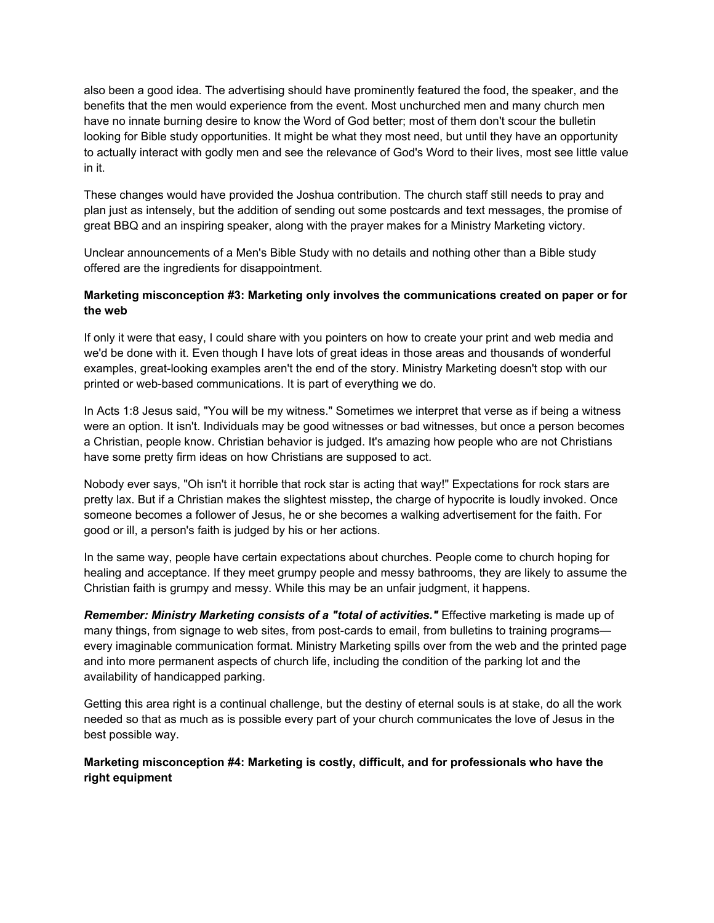also been a good idea. The advertising should have prominently featured the food, the speaker, and the benefits that the men would experience from the event. Most unchurched men and many church men have no innate burning desire to know the Word of God better; most of them don't scour the bulletin looking for Bible study opportunities. It might be what they most need, but until they have an opportunity to actually interact with godly men and see the relevance of God's Word to their lives, most see little value in it.

These changes would have provided the Joshua contribution. The church staff still needs to pray and plan just as intensely, but the addition of sending out some postcards and text messages, the promise of great BBQ and an inspiring speaker, along with the prayer makes for a Ministry Marketing victory.

Unclear announcements of a Men's Bible Study with no details and nothing other than a Bible study offered are the ingredients for disappointment.

# **Marketing misconception #3: Marketing only involves the communications created on paper or for the web**

If only it were that easy, I could share with you pointers on how to create your print and web media and we'd be done with it. Even though I have lots of great ideas in those areas and thousands of wonderful examples, great-looking examples aren't the end of the story. Ministry Marketing doesn't stop with our printed or web-based communications. It is part of everything we do.

In Acts 1:8 Jesus said, "You will be my witness." Sometimes we interpret that verse as if being a witness were an option. It isn't. Individuals may be good witnesses or bad witnesses, but once a person becomes a Christian, people know. Christian behavior is judged. It's amazing how people who are not Christians have some pretty firm ideas on how Christians are supposed to act.

Nobody ever says, "Oh isn't it horrible that rock star is acting that way!" Expectations for rock stars are pretty lax. But if a Christian makes the slightest misstep, the charge of hypocrite is loudly invoked. Once someone becomes a follower of Jesus, he or she becomes a walking advertisement for the faith. For good or ill, a person's faith is judged by his or her actions.

In the same way, people have certain expectations about churches. People come to church hoping for healing and acceptance. If they meet grumpy people and messy bathrooms, they are likely to assume the Christian faith is grumpy and messy. While this may be an unfair judgment, it happens.

*Remember: Ministry Marketing consists of a "total of activities."* Effective marketing is made up of many things, from signage to web sites, from post-cards to email, from bulletins to training programs every imaginable communication format. Ministry Marketing spills over from the web and the printed page and into more permanent aspects of church life, including the condition of the parking lot and the availability of handicapped parking.

Getting this area right is a continual challenge, but the destiny of eternal souls is at stake, do all the work needed so that as much as is possible every part of your church communicates the love of Jesus in the best possible way.

# **Marketing misconception #4: Marketing is costly, difficult, and for professionals who have the right equipment**